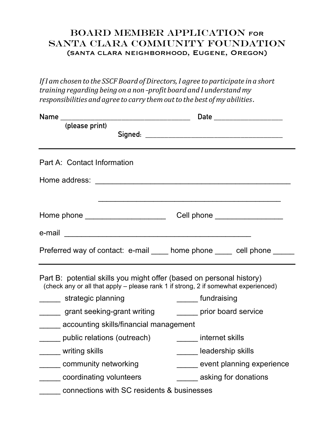## Board member application for SANTA CLARA COMMUNITY FOUNDATION (santa clara neighborhood, Eugene, Oregon)

*IfI amchosen to the SSCF Board ofDirectors, I agree to participate in a short training regarding being on a non*-*profit board and I understandmy responsibilities and agree to carry themoutto the best ofmy abilities*.

| (please print)                                                                                                                                             |                              |
|------------------------------------------------------------------------------------------------------------------------------------------------------------|------------------------------|
| Part A: Contact Information                                                                                                                                |                              |
| Home address:                                                                                                                                              |                              |
| Home phone ______________________                                                                                                                          | Cell phone _________________ |
| e-mail                                                                                                                                                     |                              |
| Preferred way of contact: e-mail home phone ellephone                                                                                                      |                              |
| Part B: potential skills you might offer (based on personal history)<br>(check any or all that apply - please rank 1 if strong, 2 if somewhat experienced) |                              |
| strategic planning                                                                                                                                         | ______ fundraising           |
| grant seeking-grant writing                                                                                                                                | prior board service          |
| accounting skills/financial management                                                                                                                     |                              |
| public relations (outreach)                                                                                                                                | internet skills              |
| ______ writing skills                                                                                                                                      | leadership skills            |
| community networking                                                                                                                                       | event planning experience    |
| coordinating volunteers                                                                                                                                    | asking for donations         |

connections with SC residents & businesses